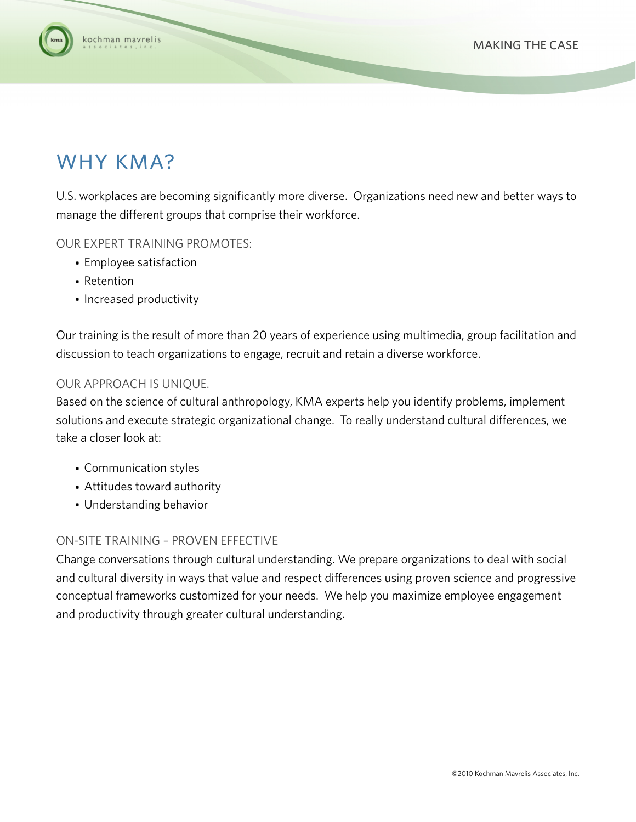

# WHY KMA?

U.S. workplaces are becoming significantly more diverse. Organizations need new and better ways to manage the different groups that comprise their workforce.

OUR EXPERT TRAINING PROMOTES:

- Employee satisfaction
- Retention
- Increased productivity

Our training is the result of more than 20 years of experience using multimedia, group facilitation and discussion to teach organizations to engage, recruit and retain a diverse workforce.

### OUR APPROACH IS UNIQUE.

Based on the science of cultural anthropology, KMA experts help you identify problems, implement solutions and execute strategic organizational change. To really understand cultural differences, we take a closer look at:

- Communication styles
- Attitudes toward authority
- Understanding behavior

### ON-SITE TRAINING – PROVEN EFFECTIVE

Change conversations through cultural understanding. We prepare organizations to deal with social and cultural diversity in ways that value and respect differences using proven science and progressive conceptual frameworks customized for your needs. We help you maximize employee engagement and productivity through greater cultural understanding.